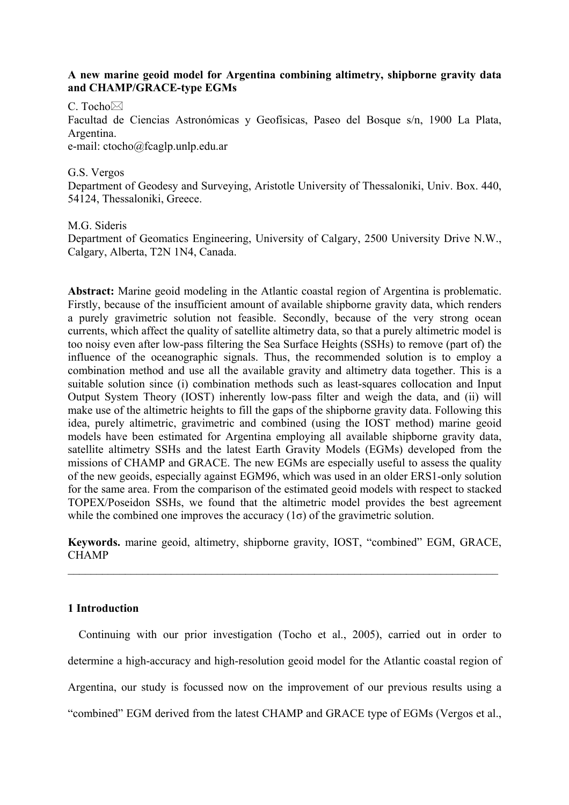# **A new marine geoid model for Argentina combining altimetry, shipborne gravity data and CHAMP/GRACE-type EGMs**

C. Tocho $\boxtimes$ 

Facultad de Ciencias Astronómicas y Geofísicas, Paseo del Bosque s/n, 1900 La Plata, Argentina. e-mail: ctocho@fcaglp.unlp.edu.ar

G.S. Vergos

Department of Geodesy and Surveying, Aristotle University of Thessaloniki, Univ. Box. 440, 54124, Thessaloniki, Greece.

M.G. Sideris

Department of Geomatics Engineering, University of Calgary, 2500 University Drive N.W., Calgary, Alberta, T2N 1N4, Canada.

**Abstract:** Marine geoid modeling in the Atlantic coastal region of Argentina is problematic. Firstly, because of the insufficient amount of available shipborne gravity data, which renders a purely gravimetric solution not feasible. Secondly, because of the very strong ocean currents, which affect the quality of satellite altimetry data, so that a purely altimetric model is too noisy even after low-pass filtering the Sea Surface Heights (SSHs) to remove (part of) the influence of the oceanographic signals. Thus, the recommended solution is to employ a combination method and use all the available gravity and altimetry data together. This is a suitable solution since (i) combination methods such as least-squares collocation and Input Output System Theory (IOST) inherently low-pass filter and weigh the data, and (ii) will make use of the altimetric heights to fill the gaps of the shipborne gravity data. Following this idea, purely altimetric, gravimetric and combined (using the IOST method) marine geoid models have been estimated for Argentina employing all available shipborne gravity data, satellite altimetry SSHs and the latest Earth Gravity Models (EGMs) developed from the missions of CHAMP and GRACE. The new EGMs are especially useful to assess the quality of the new geoids, especially against EGM96, which was used in an older ERS1-only solution for the same area. From the comparison of the estimated geoid models with respect to stacked TOPEX/Poseidon SSHs, we found that the altimetric model provides the best agreement while the combined one improves the accuracy  $(1\sigma)$  of the gravimetric solution.

**Keywords.** marine geoid, altimetry, shipborne gravity, IOST, "combined" EGM, GRACE, **CHAMP** 

 $\mathcal{L}_\mathcal{L} = \{ \mathcal{L}_\mathcal{L} = \{ \mathcal{L}_\mathcal{L} = \{ \mathcal{L}_\mathcal{L} = \{ \mathcal{L}_\mathcal{L} = \{ \mathcal{L}_\mathcal{L} = \{ \mathcal{L}_\mathcal{L} = \{ \mathcal{L}_\mathcal{L} = \{ \mathcal{L}_\mathcal{L} = \{ \mathcal{L}_\mathcal{L} = \{ \mathcal{L}_\mathcal{L} = \{ \mathcal{L}_\mathcal{L} = \{ \mathcal{L}_\mathcal{L} = \{ \mathcal{L}_\mathcal{L} = \{ \mathcal{L}_\mathcal{$ 

## **1 Introduction**

Continuing with our prior investigation (Tocho et al., 2005), carried out in order to determine a high-accuracy and high-resolution geoid model for the Atlantic coastal region of Argentina, our study is focussed now on the improvement of our previous results using a "combined" EGM derived from the latest CHAMP and GRACE type of EGMs (Vergos et al.,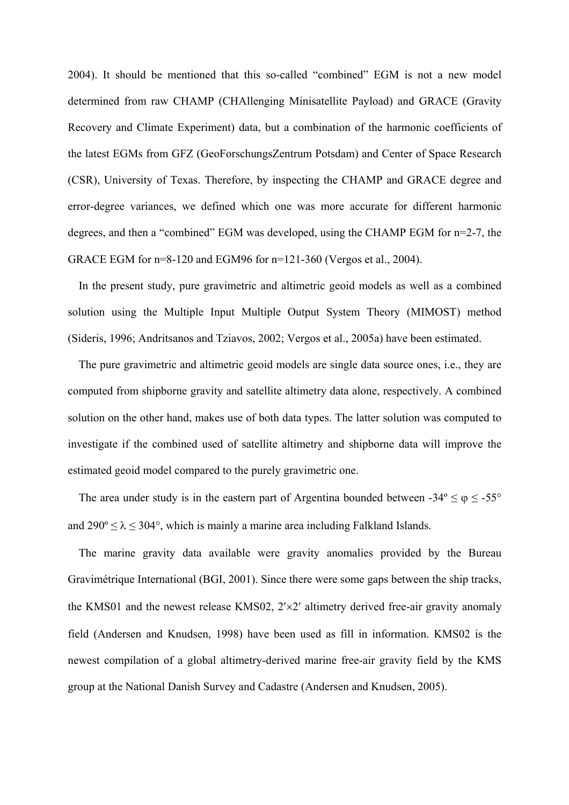2004). It should be mentioned that this so-called "combined" EGM is not a new model determined from raw CHAMP (CHAllenging Minisatellite Payload) and GRACE (Gravity Recovery and Climate Experiment) data, but a combination of the harmonic coefficients of the latest EGMs from GFZ (GeoForschungsZentrum Potsdam) and Center of Space Research (CSR), University of Texas. Therefore, by inspecting the CHAMP and GRACE degree and error-degree variances, we defined which one was more accurate for different harmonic degrees, and then a "combined" EGM was developed, using the CHAMP EGM for n=2-7, the GRACE EGM for n=8-120 and EGM96 for n=121-360 (Vergos et al., 2004).

In the present study, pure gravimetric and altimetric geoid models as well as a combined solution using the Multiple Input Multiple Output System Theory (MIMOST) method (Sideris, 1996; Andritsanos and Tziavos, 2002; Vergos et al., 2005a) have been estimated.

The pure gravimetric and altimetric geoid models are single data source ones, i.e., they are computed from shipborne gravity and satellite altimetry data alone, respectively. A combined solution on the other hand, makes use of both data types. The latter solution was computed to investigate if the combined used of satellite altimetry and shipborne data will improve the estimated geoid model compared to the purely gravimetric one.

The area under study is in the eastern part of Argentina bounded between  $-34^{\circ} \le \varphi \le -55^{\circ}$ and  $290^{\circ} \le \lambda \le 304^{\circ}$ , which is mainly a marine area including Falkland Islands.

The marine gravity data available were gravity anomalies provided by the Bureau Gravimétrique International (BGI, 2001). Since there were some gaps between the ship tracks, the KMS01 and the newest release KMS02, 2′×2′ altimetry derived free-air gravity anomaly field (Andersen and Knudsen, 1998) have been used as fill in information. KMS02 is the newest compilation of a global altimetry-derived marine free-air gravity field by the KMS group at the National Danish Survey and Cadastre (Andersen and Knudsen, 2005).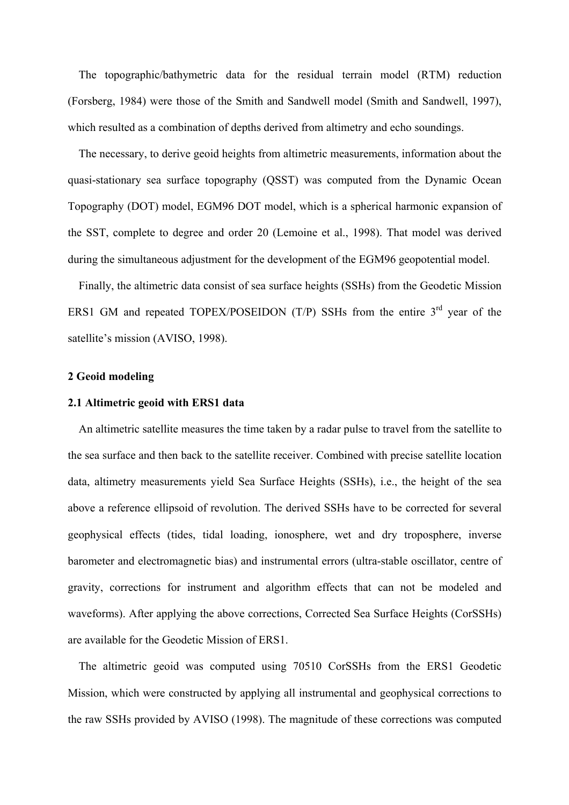The topographic/bathymetric data for the residual terrain model (RTM) reduction (Forsberg, 1984) were those of the Smith and Sandwell model (Smith and Sandwell, 1997), which resulted as a combination of depths derived from altimetry and echo soundings.

The necessary, to derive geoid heights from altimetric measurements, information about the quasi-stationary sea surface topography (QSST) was computed from the Dynamic Ocean Topography (DOT) model, EGM96 DOT model, which is a spherical harmonic expansion of the SST, complete to degree and order 20 (Lemoine et al., 1998). That model was derived during the simultaneous adjustment for the development of the EGM96 geopotential model.

Finally, the altimetric data consist of sea surface heights (SSHs) from the Geodetic Mission ERS1 GM and repeated TOPEX/POSEIDON (T/P) SSHs from the entire  $3<sup>rd</sup>$  year of the satellite's mission (AVISO, 1998).

#### **2 Geoid modeling**

### **2.1 Altimetric geoid with ERS1 data**

An altimetric satellite measures the time taken by a radar pulse to travel from the satellite to the sea surface and then back to the satellite receiver. Combined with precise satellite location data, altimetry measurements yield Sea Surface Heights (SSHs), i.e., the height of the sea above a reference ellipsoid of revolution. The derived SSHs have to be corrected for several geophysical effects (tides, tidal loading, ionosphere, wet and dry troposphere, inverse barometer and electromagnetic bias) and instrumental errors (ultra-stable oscillator, centre of gravity, corrections for instrument and algorithm effects that can not be modeled and waveforms). After applying the above corrections, Corrected Sea Surface Heights (CorSSHs) are available for the Geodetic Mission of ERS1.

The altimetric geoid was computed using 70510 CorSSHs from the ERS1 Geodetic Mission, which were constructed by applying all instrumental and geophysical corrections to the raw SSHs provided by AVISO (1998). The magnitude of these corrections was computed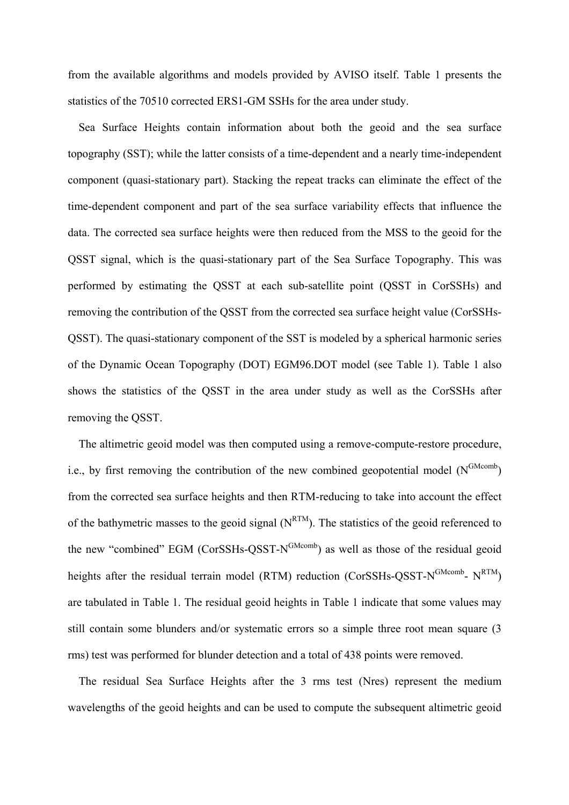from the available algorithms and models provided by AVISO itself. Table 1 presents the statistics of the 70510 corrected ERS1-GM SSHs for the area under study.

Sea Surface Heights contain information about both the geoid and the sea surface topography (SST); while the latter consists of a time-dependent and a nearly time-independent component (quasi-stationary part). Stacking the repeat tracks can eliminate the effect of the time-dependent component and part of the sea surface variability effects that influence the data. The corrected sea surface heights were then reduced from the MSS to the geoid for the QSST signal, which is the quasi-stationary part of the Sea Surface Topography. This was performed by estimating the QSST at each sub-satellite point (QSST in CorSSHs) and removing the contribution of the QSST from the corrected sea surface height value (CorSSHs-QSST). The quasi-stationary component of the SST is modeled by a spherical harmonic series of the Dynamic Ocean Topography (DOT) EGM96.DOT model (see Table 1). Table 1 also shows the statistics of the QSST in the area under study as well as the CorSSHs after removing the QSST.

The altimetric geoid model was then computed using a remove-compute-restore procedure, i.e., by first removing the contribution of the new combined geopotential model  $(N^{GMcomb})$ from the corrected sea surface heights and then RTM-reducing to take into account the effect of the bathymetric masses to the geoid signal  $(N^{RTM})$ . The statistics of the geoid referenced to the new "combined" EGM (CorSSHs-OSST-N<sup>GMcomb</sup>) as well as those of the residual geoid heights after the residual terrain model (RTM) reduction (CorSSHs-QSST-N<sup>GMcomb</sup>- N<sup>RTM</sup>) are tabulated in Table 1. The residual geoid heights in Table 1 indicate that some values may still contain some blunders and/or systematic errors so a simple three root mean square (3 rms) test was performed for blunder detection and a total of 438 points were removed.

The residual Sea Surface Heights after the 3 rms test (Nres) represent the medium wavelengths of the geoid heights and can be used to compute the subsequent altimetric geoid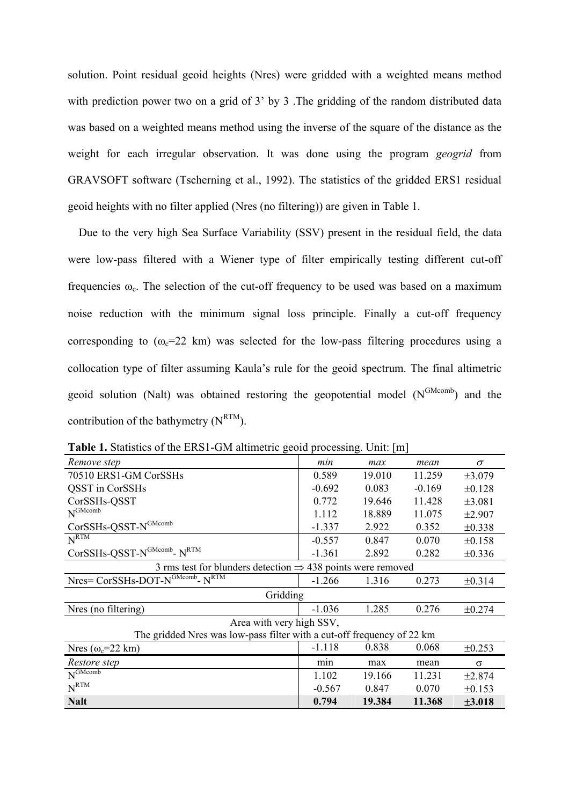solution. Point residual geoid heights (Nres) were gridded with a weighted means method with prediction power two on a grid of 3' by 3. The gridding of the random distributed data was based on a weighted means method using the inverse of the square of the distance as the weight for each irregular observation. It was done using the program *geogrid* from GRAVSOFT software (Tscherning et al., 1992). The statistics of the gridded ERS1 residual geoid heights with no filter applied (Nres (no filtering)) are given in Table 1.

Due to the very high Sea Surface Variability (SSV) present in the residual field, the data were low-pass filtered with a Wiener type of filter empirically testing different cut-off frequencies  $\omega_c$ . The selection of the cut-off frequency to be used was based on a maximum noise reduction with the minimum signal loss principle. Finally a cut-off frequency corresponding to  $(\omega_c=22 \text{ km})$  was selected for the low-pass filtering procedures using a collocation type of filter assuming Kaula's rule for the geoid spectrum. The final altimetric geoid solution (Nalt) was obtained restoring the geopotential model  $(N^{GMcomb})$  and the contribution of the bathymetry  $(N^{RTM})$ .

| Remove step                                                                                   | min      | max    | mean     | $\sigma$    |  |  |  |  |
|-----------------------------------------------------------------------------------------------|----------|--------|----------|-------------|--|--|--|--|
| 70510 ERS1-GM CorSSHs                                                                         | 0.589    | 19.010 | 11.259   | $\pm 3.079$ |  |  |  |  |
| <b>QSST</b> in CorSSHs                                                                        | $-0.692$ | 0.083  | $-0.169$ | $\pm 0.128$ |  |  |  |  |
| CorSSHs-QSST                                                                                  | 0.772    | 19.646 | 11.428   | ±3.081      |  |  |  |  |
| $N^{GMcomb}$                                                                                  | 1.112    | 18.889 | 11.075   | $\pm 2.907$ |  |  |  |  |
| $CorSSHs-QSST-N^{GMcomb}$                                                                     | $-1.337$ | 2.922  | 0.352    | ±0.338      |  |  |  |  |
| N <sup>RTM</sup>                                                                              | $-0.557$ | 0.847  | 0.070    | $\pm 0.158$ |  |  |  |  |
| $\mathrm{CorSSHs\text{-}OSST\text{-}N}^{\mathrm{GMcomb}\text{-}}$ $\mathrm{N}^{\mathrm{RTM}}$ | $-1.361$ | 2.892  | 0.282    | ±0.336      |  |  |  |  |
| 3 rms test for blunders detection $\Rightarrow$ 438 points were removed                       |          |        |          |             |  |  |  |  |
| Nres= CorSSHs-DOT-N <sup>GMcomb</sup> - N <sup>RTM</sup>                                      | $-1.266$ | 1.316  | 0.273    | $\pm 0.314$ |  |  |  |  |
| Gridding                                                                                      |          |        |          |             |  |  |  |  |
| Nres (no filtering)                                                                           | $-1.036$ | 1.285  | 0.276    | ±0.274      |  |  |  |  |
| Area with very high SSV,                                                                      |          |        |          |             |  |  |  |  |
| The gridded Nres was low-pass filter with a cut-off frequency of 22 km                        |          |        |          |             |  |  |  |  |
| Nres ( $\omega_c$ =22 km)                                                                     | $-1.118$ | 0.838  | 0.068    | ±0.253      |  |  |  |  |
| Restore step                                                                                  | min      | max    | mean     | $\sigma$    |  |  |  |  |
| $N^{\text{GMcomb}}$                                                                           | 1.102    | 19.166 | 11.231   | ±2.874      |  |  |  |  |
| $N^{RTM}$                                                                                     | $-0.567$ | 0.847  | 0.070    | $\pm 0.153$ |  |  |  |  |
| <b>Nalt</b>                                                                                   | 0.794    | 19.384 | 11.368   | ±3.018      |  |  |  |  |

**Table 1.** Statistics of the ERS1-GM altimetric geoid processing. Unit: [m]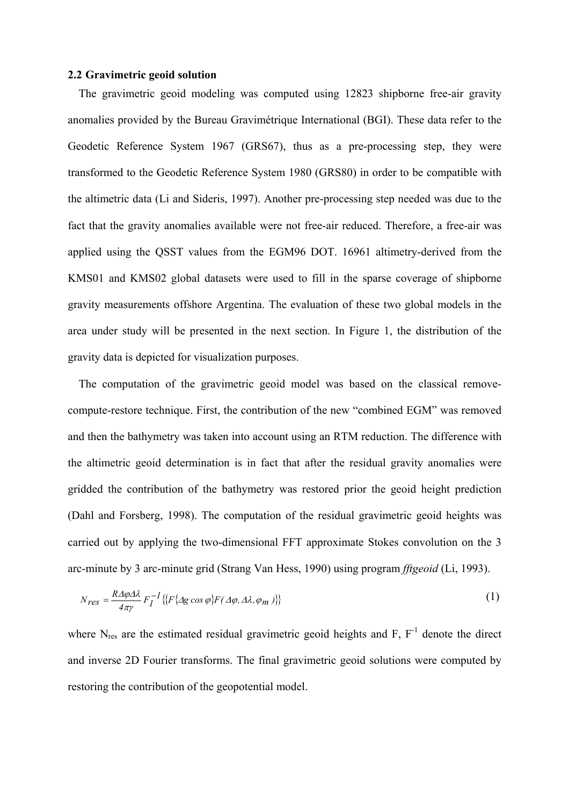#### **2.2 Gravimetric geoid solution**

The gravimetric geoid modeling was computed using 12823 shipborne free-air gravity anomalies provided by the Bureau Gravimétrique International (BGI). These data refer to the Geodetic Reference System 1967 (GRS67), thus as a pre-processing step, they were transformed to the Geodetic Reference System 1980 (GRS80) in order to be compatible with the altimetric data (Li and Sideris, 1997). Another pre-processing step needed was due to the fact that the gravity anomalies available were not free-air reduced. Therefore, a free-air was applied using the QSST values from the EGM96 DOT. 16961 altimetry-derived from the KMS01 and KMS02 global datasets were used to fill in the sparse coverage of shipborne gravity measurements offshore Argentina. The evaluation of these two global models in the area under study will be presented in the next section. In Figure 1, the distribution of the gravity data is depicted for visualization purposes.

The computation of the gravimetric geoid model was based on the classical removecompute-restore technique. First, the contribution of the new "combined EGM" was removed and then the bathymetry was taken into account using an RTM reduction. The difference with the altimetric geoid determination is in fact that after the residual gravity anomalies were gridded the contribution of the bathymetry was restored prior the geoid height prediction (Dahl and Forsberg, 1998). The computation of the residual gravimetric geoid heights was carried out by applying the two-dimensional FFT approximate Stokes convolution on the 3 arc-minute by 3 arc-minute grid (Strang Van Hess, 1990) using program *fftgeoid* (Li, 1993).

$$
N_{res} = \frac{R\Delta\varphi\Delta\lambda}{4\pi\gamma} F_I^{-1} \{ [F\{\Delta g \cos\varphi\} F(\Delta\varphi, \Delta\lambda, \varphi_m)] \} \tag{1}
$$

where  $N_{res}$  are the estimated residual gravimetric geoid heights and  $F$ ,  $F^{-1}$  denote the direct and inverse 2D Fourier transforms. The final gravimetric geoid solutions were computed by restoring the contribution of the geopotential model.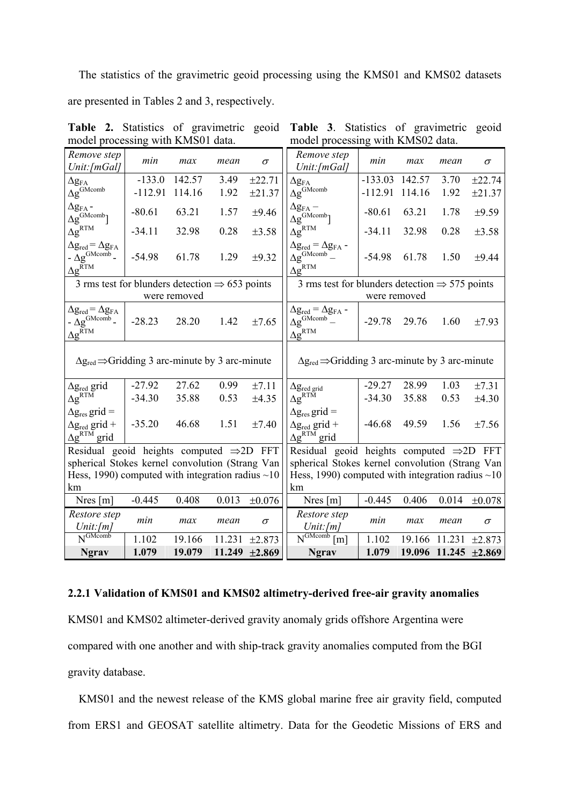The statistics of the gravimetric geoid processing using the KMS01 and KMS02 datasets are presented in Tables 2 and 3, respectively.

| Remove step<br>Unit: [mGal]                                                                                                                            | min       | max          | mean   | $\sigma$    | Remove step<br>Unit: [mGal]                                                                          | min          | max    | mean   | $\sigma$             |
|--------------------------------------------------------------------------------------------------------------------------------------------------------|-----------|--------------|--------|-------------|------------------------------------------------------------------------------------------------------|--------------|--------|--------|----------------------|
| $\Delta \mathbf{g}_{\text{FA}}$                                                                                                                        | $-133.0$  | 142.57       | 3.49   | ±22.71      | $\Delta g_{FA}$                                                                                      | $-133.03$    | 142.57 | 3.70   | ±22.74               |
| $\Delta g^{\text{GMcomb}}$                                                                                                                             | $-112.91$ | 114.16       | 1.92   | ±21.37      | $\Delta g^{\text{GMcomb}}$                                                                           | $-112.91$    | 114.16 | 1.92   | ±21.37               |
| $\Delta g_{FA}$ -<br>$\Delta g^{\text{GMcomb}}$                                                                                                        | $-80.61$  | 63.21        | 1.57   | $\pm 9.46$  | $\Delta g_{FA}$ –<br>$\Delta g^{\text{GMcomb}}$                                                      | $-80.61$     | 63.21  | 1.78   | $\pm 9.59$           |
| $\Delta g^{\rm RTM}$                                                                                                                                   | $-34.11$  | 32.98        | 0.28   | ±3.58       | $\Delta g^{RTM}$                                                                                     | $-34.11$     | 32.98  | 0.28   | ±3.58                |
| $\Delta g_{\text{red}} = \Delta g_{\text{FA}}$<br>$-\Delta g^{\text{GMcomb}}$ -<br>$\Delta g^{\overline{R}TM}$                                         | $-54.98$  | 61.78        | 1.29   | $\pm 9.32$  | $\Delta g_{\text{red}} = \Delta g_{\text{FA}}$ .<br>$\Delta g^{\text{GMcomb}}$ –<br>$\Delta g^{RTM}$ | $-54.98$     | 61.78  | 1.50   | ±9.44                |
| 3 rms test for blunders detection $\Rightarrow$ 653 points                                                                                             |           |              |        |             | 3 rms test for blunders detection $\Rightarrow$ 575 points                                           |              |        |        |                      |
|                                                                                                                                                        |           | were removed |        |             |                                                                                                      | were removed |        |        |                      |
| $\Delta g_{red} = \Delta g_{FA}$<br>$-\Delta g^{\text{GMcomb}}$<br>$\Delta g^{\overline{R}TM}$                                                         | $-28.23$  | 28.20        | 1.42   | $\pm 7.65$  | $\Delta g_{\rm red} = \Delta g_{\rm FA}$ -<br>$\Delta g^{\text{GMcomb}}$ –<br>$\Delta g^{RTM}$       | $-29.78$     | 29.76  | 1.60   | ±7.93                |
| $\Delta g_{\text{red}} \Rightarrow$ Gridding 3 arc-minute by 3 arc-minute<br>$\Delta g_{\text{red}} \Rightarrow$ Gridding 3 arc-minute by 3 arc-minute |           |              |        |             |                                                                                                      |              |        |        |                      |
| $\Delta$ g <sub>red</sub> grid                                                                                                                         | $-27.92$  | 27.62        | 0.99   | ±7.11       | $\Delta g_{\text{red grid}}$                                                                         | $-29.27$     | 28.99  | 1.03   | ±7.31                |
| $\Delta g^{RT\tilde{M}}$                                                                                                                               | $-34.30$  | 35.88        | 0.53   | ±4.35       | $\Delta g^{RT\tilde{M}}$                                                                             | $-34.30$     | 35.88  | 0.53   | ±4.30                |
| $\Delta g_{\text{res}}$ grid =<br>$\Delta$ g <sub>red</sub> grid +<br>$\Delta g^{RTM}$ grid                                                            | $-35.20$  | 46.68        | 1.51   | ±7.40       | $\Delta g_{\text{res}}$ grid =<br>$\Delta$ g <sub>red</sub> grid +<br>$\Delta g^{RTM}$ grid          | $-46.68$     | 49.59  | 1.56   | ±7.56                |
| Residual geoid heights computed $\Rightarrow$ 2D FFT                                                                                                   |           |              |        |             | Residual geoid heights computed $\Rightarrow$ 2D FFT                                                 |              |        |        |                      |
| spherical Stokes kernel convolution (Strang Van                                                                                                        |           |              |        |             | spherical Stokes kernel convolution (Strang Van                                                      |              |        |        |                      |
| Hess, 1990) computed with integration radius $\sim$ 10                                                                                                 |           |              |        |             | Hess, 1990) computed with integration radius $\sim$ 10                                               |              |        |        |                      |
| km                                                                                                                                                     |           |              |        |             | km                                                                                                   |              |        |        |                      |
| Nres $[m]$                                                                                                                                             | $-0.445$  | 0.408        | 0.013  | $\pm 0.076$ | Nres $[m]$                                                                                           | $-0.445$     | 0.406  | 0.014  | $\pm 0.078$          |
| Restore step<br>Unit: [m]                                                                                                                              | min       | max          | mean   | $\sigma$    | Restore step<br>Unit: [m]                                                                            | min          | max    | mean   | $\sigma$             |
| $N^{\overline{\text{GMcomb}}}$                                                                                                                         | 1.102     | 19.166       | 11.231 | ±2.873      | $\overline{N^{GMcomb}}$<br>$\lceil m \rceil$                                                         | 1.102        | 19.166 | 11.231 | ±2.873               |
| <b>Ngrav</b>                                                                                                                                           | 1.079     | 19.079       | 11.249 | ±2.869      | <b>Ngrav</b>                                                                                         | 1.079        |        |        | 19.096 11.245 ±2.869 |

**Table 2.** Statistics of gravimetric geoid **Table 3**. Statistics of gravimetric geoid model processing with KMS01 data. model processing with KMS02 data.

## **2.2.1 Validation of KMS01 and KMS02 altimetry-derived free-air gravity anomalies**

KMS01 and KMS02 altimeter-derived gravity anomaly grids offshore Argentina were

compared with one another and with ship-track gravity anomalies computed from the BGI

gravity database.

KMS01 and the newest release of the KMS global marine free air gravity field, computed from ERS1 and GEOSAT satellite altimetry. Data for the Geodetic Missions of ERS and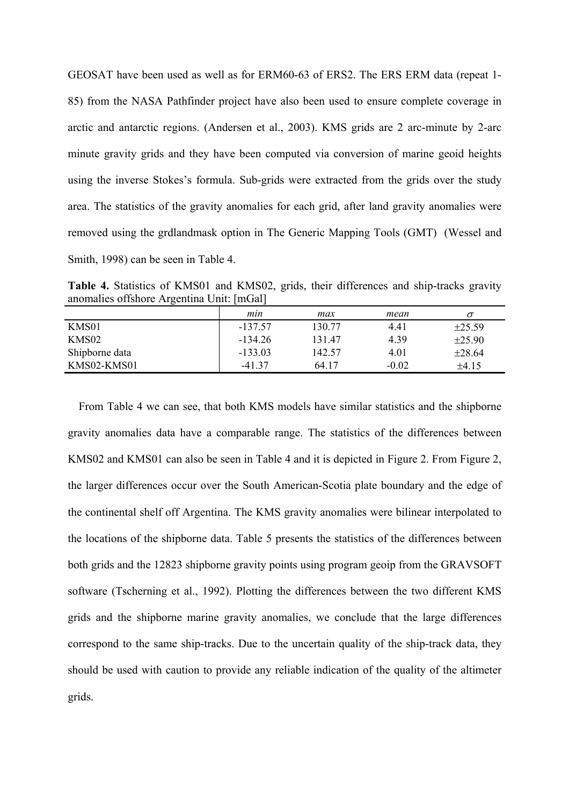GEOSAT have been used as well as for ERM60-63 of ERS2. The ERS ERM data (repeat 1- 85) from the NASA Pathfinder project have also been used to ensure complete coverage in arctic and antarctic regions. (Andersen et al., 2003). KMS grids are 2 arc-minute by 2-arc minute gravity grids and they have been computed via conversion of marine geoid heights using the inverse Stokes's formula. Sub-grids were extracted from the grids over the study area. The statistics of the gravity anomalies for each grid, after land gravity anomalies were removed using the grdlandmask option in The Generic Mapping Tools (GMT) (Wessel and Smith, 1998) can be seen in Table 4.

**Table 4.** Statistics of KMS01 and KMS02, grids, their differences and ship-tracks gravity anomalies offshore Argentina Unit: [mGal]

| $\sim$         |           |        |         |             |
|----------------|-----------|--------|---------|-------------|
|                | min       | max    | mean    |             |
| KMS01          | $-137.57$ | 130.77 | 4.41    | $\pm 25.59$ |
| KMS02          | $-134.26$ | 13147  | 4.39    | $\pm 25.90$ |
| Shipborne data | $-133.03$ | 142.57 | 4.01    | $\pm 28.64$ |
| KMS02-KMS01    | -41 37    | 64 17  | $-0.02$ | ±4.15       |

From Table 4 we can see, that both KMS models have similar statistics and the shipborne gravity anomalies data have a comparable range. The statistics of the differences between KMS02 and KMS01 can also be seen in Table 4 and it is depicted in Figure 2. From Figure 2, the larger differences occur over the South American-Scotia plate boundary and the edge of the continental shelf off Argentina. The KMS gravity anomalies were bilinear interpolated to the locations of the shipborne data. Table 5 presents the statistics of the differences between both grids and the 12823 shipborne gravity points using program geoip from the GRAVSOFT software (Tscherning et al., 1992). Plotting the differences between the two different KMS grids and the shipborne marine gravity anomalies, we conclude that the large differences correspond to the same ship-tracks. Due to the uncertain quality of the ship-track data, they should be used with caution to provide any reliable indication of the quality of the altimeter grids.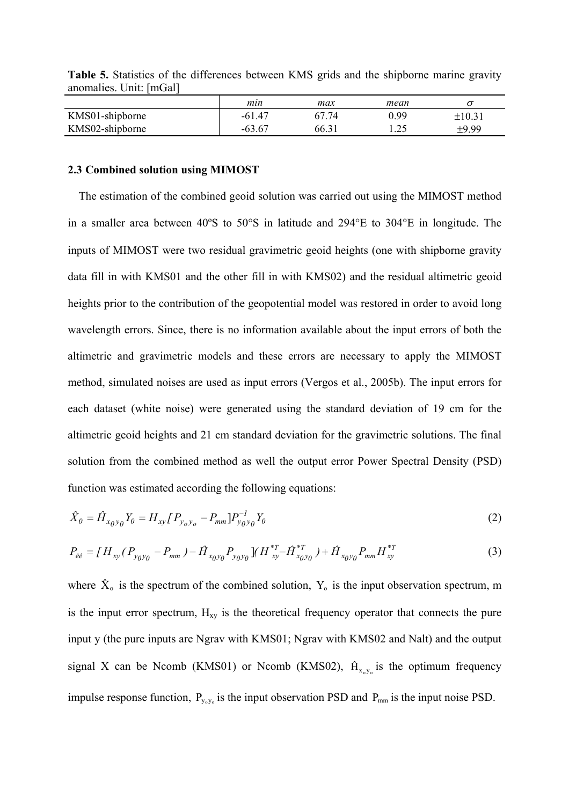|                 | mın      | max            | mean |            |
|-----------------|----------|----------------|------|------------|
| KMS01-shipborne | $-61.47$ | 67 74          | 0.99 | $\pm 10.3$ |
| KMS02-shipborne | -63.67   | $66.3^{\circ}$ | 1.25 | ±9.99      |

**Table 5.** Statistics of the differences between KMS grids and the shipborne marine gravity anomalies. Unit: [mGal]

### **2.3 Combined solution using MIMOST**

The estimation of the combined geoid solution was carried out using the MIMOST method in a smaller area between 40ºS to 50°S in latitude and 294°E to 304°E in longitude. The inputs of MIMOST were two residual gravimetric geoid heights (one with shipborne gravity data fill in with KMS01 and the other fill in with KMS02) and the residual altimetric geoid heights prior to the contribution of the geopotential model was restored in order to avoid long wavelength errors. Since, there is no information available about the input errors of both the altimetric and gravimetric models and these errors are necessary to apply the MIMOST method, simulated noises are used as input errors (Vergos et al., 2005b). The input errors for each dataset (white noise) were generated using the standard deviation of 19 cm for the altimetric geoid heights and 21 cm standard deviation for the gravimetric solutions. The final solution from the combined method as well the output error Power Spectral Density (PSD) function was estimated according the following equations:

$$
\hat{X}_0 = \hat{H}_{x_0y_0}Y_0 = H_{xy}P_{y_0y_0} - P_{mm}P_{y_0y_0}^{-1}Y_0
$$
\n(2)

$$
P_{ee} = [H_{xy}(P_{y_0y_0} - P_{mm}) - \hat{H}_{x_0y_0}P_{y_0y_0}](H_{xy}^{*T} - \hat{H}_{x_0y_0}^{*T}) + \hat{H}_{x_0y_0}P_{mm}H_{xy}^{*T}
$$
(3)

where  $\hat{X}_{o}$  is the spectrum of the combined solution,  $Y_{o}$  is the input observation spectrum, m is the input error spectrum,  $H_{xy}$  is the theoretical frequency operator that connects the pure input y (the pure inputs are Ngrav with KMS01; Ngrav with KMS02 and Nalt) and the output signal X can be Ncomb (KMS01) or Ncomb (KMS02),  $\hat{H}_{x_0y_0}$  is the optimum frequency impulse response function,  $P_{y_0y_0}$  is the input observation PSD and  $P_{mm}$  is the input noise PSD.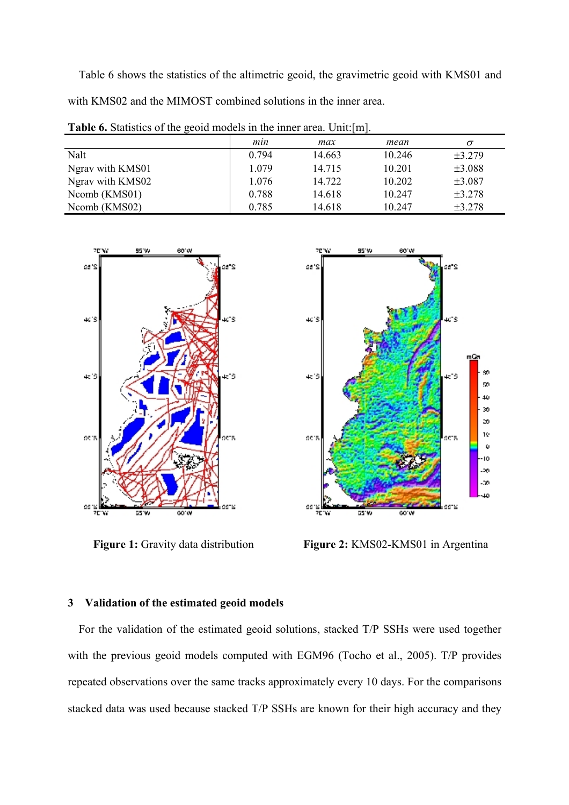Table 6 shows the statistics of the altimetric geoid, the gravimetric geoid with KMS01 and with KMS02 and the MIMOST combined solutions in the inner area.

| <b>Table 6.</b> Statistics of the geoid models in the inner area. Unit: [m]. |       |        |        |          |  |  |
|------------------------------------------------------------------------------|-------|--------|--------|----------|--|--|
|                                                                              | min   | max    | mean   | $\sigma$ |  |  |
| Nalt                                                                         | 0.794 | 14.663 | 10.246 | ±3.279   |  |  |
| Ngrav with KMS01                                                             | 1.079 | 14.715 | 10.201 | ±3.088   |  |  |
| Ngrav with KMS02                                                             | 1.076 | 14.722 | 10.202 | ±3.087   |  |  |
| Ncomb (KMS01)                                                                | 0.788 | 14.618 | 10.247 | ±3.278   |  |  |
| Ncomb (KMS02)                                                                | 0.785 | 14.618 | 10.247 | ±3.278   |  |  |

95% 60'W 70% aa"s ۰, 403 ki S 4519 kið  $60^\circ$ ۳5 99 55



Figure 1: Gravity data distribution **Figure 2: KMS02-KMS01** in Argentina

# **3 Validation of the estimated geoid models**

For the validation of the estimated geoid solutions, stacked T/P SSHs were used together with the previous geoid models computed with EGM96 (Tocho et al., 2005). T/P provides repeated observations over the same tracks approximately every 10 days. For the comparisons stacked data was used because stacked T/P SSHs are known for their high accuracy and they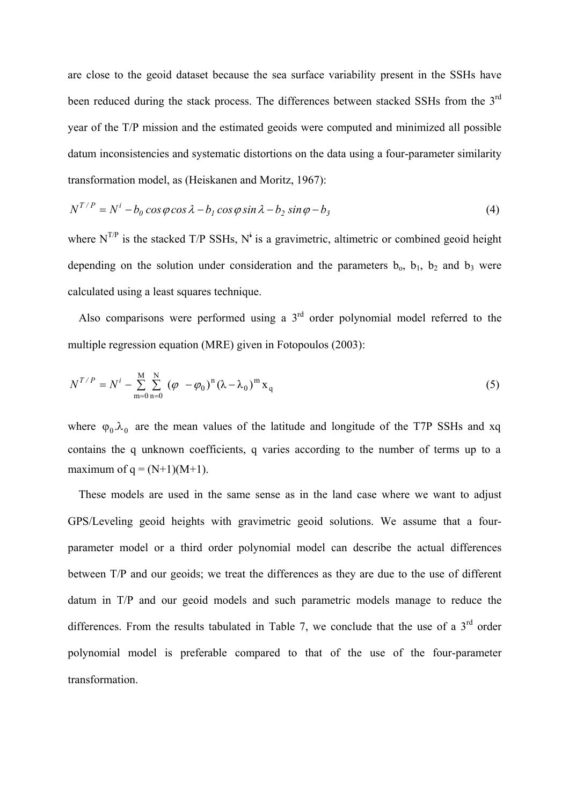are close to the geoid dataset because the sea surface variability present in the SSHs have been reduced during the stack process. The differences between stacked SSHs from the 3<sup>rd</sup> year of the T/P mission and the estimated geoids were computed and minimized all possible datum inconsistencies and systematic distortions on the data using a four-parameter similarity transformation model, as (Heiskanen and Moritz, 1967):

$$
N^{T/P} = N^i - b_0 \cos \varphi \cos \lambda - b_1 \cos \varphi \sin \lambda - b_2 \sin \varphi - b_3 \tag{4}
$$

where  $N^{TP}$  is the stacked T/P SSHs, N<sup>i</sup> is a gravimetric, altimetric or combined geoid height depending on the solution under consideration and the parameters  $b_0$ ,  $b_1$ ,  $b_2$  and  $b_3$  were calculated using a least squares technique.

Also comparisons were performed using a  $3<sup>rd</sup>$  order polynomial model referred to the multiple regression equation (MRE) given in Fotopoulos (2003):

$$
N^{T/P} = N^i - \sum_{m=0}^{M} \sum_{n=0}^{N} (\varphi - \varphi_0)^n (\lambda - \lambda_0)^m x_q
$$
 (5)

where  $\varphi_0 \lambda_0$  are the mean values of the latitude and longitude of the T7P SSHs and xq contains the q unknown coefficients, q varies according to the number of terms up to a maximum of  $q = (N+1)(M+1)$ .

These models are used in the same sense as in the land case where we want to adjust GPS/Leveling geoid heights with gravimetric geoid solutions. We assume that a fourparameter model or a third order polynomial model can describe the actual differences between T/P and our geoids; we treat the differences as they are due to the use of different datum in T/P and our geoid models and such parametric models manage to reduce the differences. From the results tabulated in Table 7, we conclude that the use of a  $3<sup>rd</sup>$  order polynomial model is preferable compared to that of the use of the four-parameter transformation.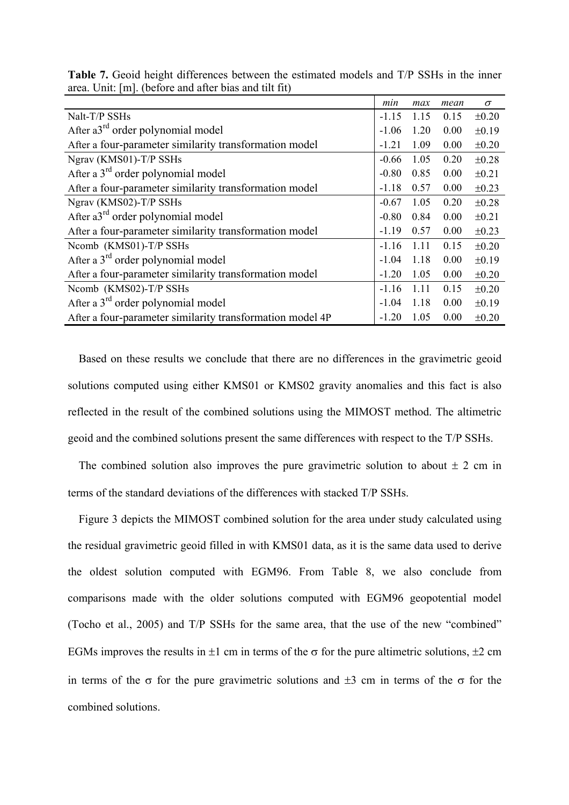|                                                           | min     | max  | mean | $\sigma$   |
|-----------------------------------------------------------|---------|------|------|------------|
| Nalt-T/P SSHs                                             | $-1.15$ | 1.15 | 0.15 | $\pm 0.20$ |
| After $a3^{rd}$ order polynomial model                    | $-1.06$ | 1.20 | 0.00 | $\pm 0.19$ |
| After a four-parameter similarity transformation model    | $-1.21$ | 1.09 | 0.00 | $\pm 0.20$ |
| Ngrav (KMS01)-T/P SSHs                                    | $-0.66$ | 1.05 | 0.20 | $\pm 0.28$ |
| After a 3 <sup>rd</sup> order polynomial model            | $-0.80$ | 0.85 | 0.00 | $\pm 0.21$ |
| After a four-parameter similarity transformation model    | $-1.18$ | 0.57 | 0.00 | $\pm 0.23$ |
| Ngrav (KMS02)-T/P SSHs                                    | $-0.67$ | 1.05 | 0.20 | $\pm 0.28$ |
| After $a3^{rd}$ order polynomial model                    | $-0.80$ | 0.84 | 0.00 | $\pm 0.21$ |
| After a four-parameter similarity transformation model    | $-1.19$ | 0.57 | 0.00 | $\pm 0.23$ |
| Ncomb (KMS01)-T/P SSHs                                    | $-1.16$ | 1.11 | 0.15 | $\pm 0.20$ |
| After a $3rd$ order polynomial model                      | $-1.04$ | 1.18 | 0.00 | $\pm 0.19$ |
| After a four-parameter similarity transformation model    | $-1.20$ | 1.05 | 0.00 | $\pm 0.20$ |
| Ncomb (KMS02)-T/P SSHs                                    | $-1.16$ | 1.11 | 0.15 | $\pm 0.20$ |
| After a $3rd$ order polynomial model                      | $-1.04$ | 1.18 | 0.00 | $\pm 0.19$ |
| After a four-parameter similarity transformation model 4P | $-1.20$ | 1.05 | 0.00 | $\pm 0.20$ |

**Table 7.** Geoid height differences between the estimated models and T/P SSHs in the inner area. Unit: [m]. (before and after bias and tilt fit)

Based on these results we conclude that there are no differences in the gravimetric geoid solutions computed using either KMS01 or KMS02 gravity anomalies and this fact is also reflected in the result of the combined solutions using the MIMOST method. The altimetric geoid and the combined solutions present the same differences with respect to the T/P SSHs.

The combined solution also improves the pure gravimetric solution to about  $\pm 2$  cm in terms of the standard deviations of the differences with stacked T/P SSHs.

Figure 3 depicts the MIMOST combined solution for the area under study calculated using the residual gravimetric geoid filled in with KMS01 data, as it is the same data used to derive the oldest solution computed with EGM96. From Table 8, we also conclude from comparisons made with the older solutions computed with EGM96 geopotential model (Tocho et al., 2005) and T/P SSHs for the same area, that the use of the new "combined" EGMs improves the results in  $\pm 1$  cm in terms of the  $\sigma$  for the pure altimetric solutions,  $\pm 2$  cm in terms of the  $\sigma$  for the pure gravimetric solutions and  $\pm 3$  cm in terms of the  $\sigma$  for the combined solutions.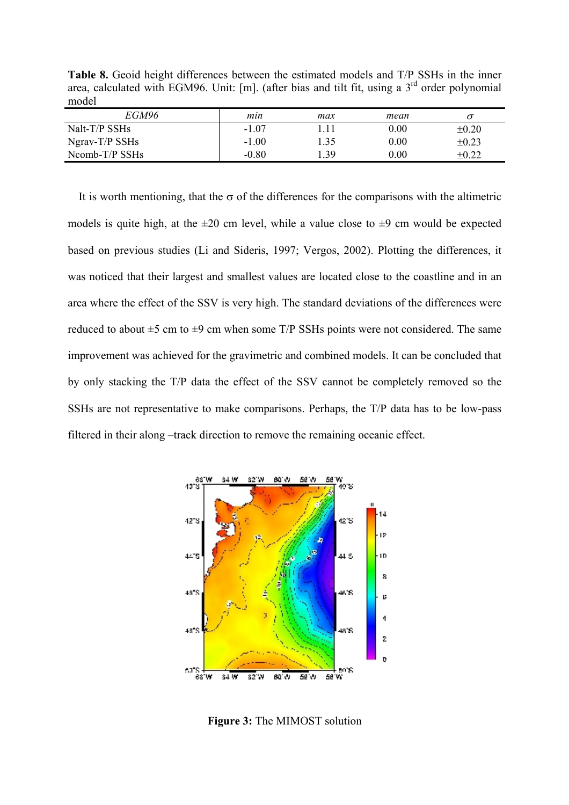**Table 8.** Geoid height differences between the estimated models and T/P SSHs in the inner area, calculated with EGM96. Unit: [m]. (after bias and tilt fit, using a  $3<sup>rd</sup>$  order polynomial model

| EGM96             | min     | max  | mean     |            |
|-------------------|---------|------|----------|------------|
| Nalt-T/P SSHs     | $-1.07$ |      | 0.00     | $\pm 0.20$ |
| $N$ grav-T/P SSHs | $-1.00$ | 1.35 | 0.00     | $\pm 0.23$ |
| $Ncomb-T/P$ SSHs  | $-0.80$ | .39  | $0.00\,$ | $\pm 0.22$ |

It is worth mentioning, that the  $\sigma$  of the differences for the comparisons with the altimetric models is quite high, at the  $\pm 20$  cm level, while a value close to  $\pm 9$  cm would be expected based on previous studies (Li and Sideris, 1997; Vergos, 2002). Plotting the differences, it was noticed that their largest and smallest values are located close to the coastline and in an area where the effect of the SSV is very high. The standard deviations of the differences were reduced to about  $\pm 5$  cm to  $\pm 9$  cm when some T/P SSHs points were not considered. The same improvement was achieved for the gravimetric and combined models. It can be concluded that by only stacking the T/P data the effect of the SSV cannot be completely removed so the SSHs are not representative to make comparisons. Perhaps, the T/P data has to be low-pass filtered in their along –track direction to remove the remaining oceanic effect.



**Figure 3:** The MIMOST solution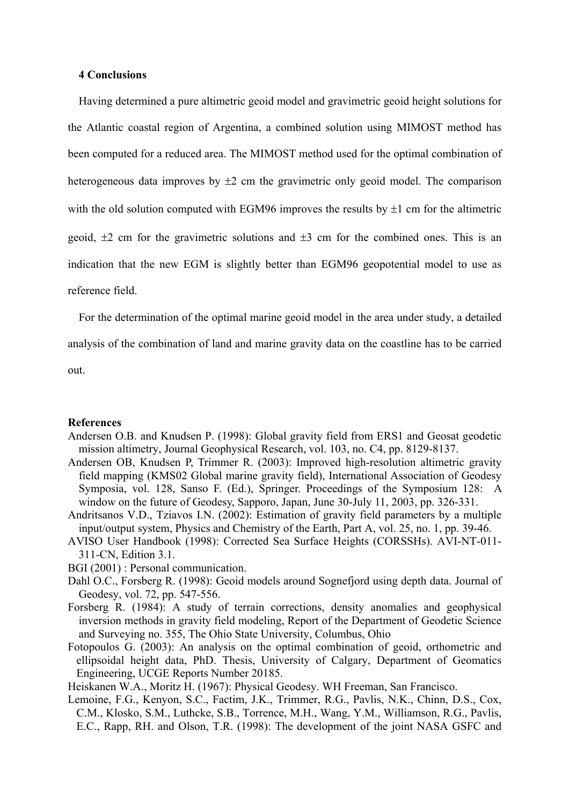### **4 Conclusions**

Having determined a pure altimetric geoid model and gravimetric geoid height solutions for the Atlantic coastal region of Argentina, a combined solution using MIMOST method has been computed for a reduced area. The MIMOST method used for the optimal combination of heterogeneous data improves by  $\pm 2$  cm the gravimetric only geoid model. The comparison with the old solution computed with EGM96 improves the results by  $\pm 1$  cm for the altimetric geoid,  $\pm 2$  cm for the gravimetric solutions and  $\pm 3$  cm for the combined ones. This is an indication that the new EGM is slightly better than EGM96 geopotential model to use as reference field.

For the determination of the optimal marine geoid model in the area under study, a detailed

analysis of the combination of land and marine gravity data on the coastline has to be carried

out.

### **References**

- Andersen O.B. and Knudsen P. (1998): Global gravity field from ERS1 and Geosat geodetic mission altimetry, Journal Geophysical Research, vol. 103, no. C4, pp. 8129-8137.
- Andersen OB, Knudsen P, Trimmer R. (2003): Improved high-resolution altimetric gravity field mapping (KMS02 Global marine gravity field), International Association of Geodesy Symposia, vol. 128, Sanso F. (Ed.), Springer. Proceedings of the Symposium 128: A window on the future of Geodesy, Sapporo, Japan, June 30-July 11, 2003, pp. 326-331.
- Andritsanos V.D., Tziavos I.N. (2002): Estimation of gravity field parameters by a multiple input/output system, Physics and Chemistry of the Earth, Part A, vol. 25, no. 1, pp. 39-46.
- AVISO User Handbook (1998): Corrected Sea Surface Heights (CORSSHs). AVI-NT-011- 311-CN, Edition 3.1.
- BGI (2001) : Personal communication.
- Dahl O.C., Forsberg R. (1998): Geoid models around Sognefjord using depth data. Journal of Geodesy, vol. 72, pp. 547-556.
- Forsberg R. (1984): A study of terrain corrections, density anomalies and geophysical inversion methods in gravity field modeling, Report of the Department of Geodetic Science and Surveying no. 355, The Ohio State University, Columbus, Ohio
- Fotopoulos G. (2003): An analysis on the optimal combination of geoid, orthometric and ellipsoidal height data, PhD. Thesis, University of Calgary, Department of Geomatics Engineering, UCGE Reports Number 20185.
- Heiskanen W.A., Moritz H. (1967): Physical Geodesy. WH Freeman, San Francisco.
- Lemoine, F.G., Kenyon, S.C., Factim, J.K., Trimmer, R.G., Pavlis, N.K., Chinn, D.S., Cox, C.M., Klosko, S.M., Luthcke, S.B., Torrence, M.H., Wang, Y.M., Williamson, R.G., Pavlis, E.C., Rapp, RH. and Olson, T.R. (1998): The development of the joint NASA GSFC and